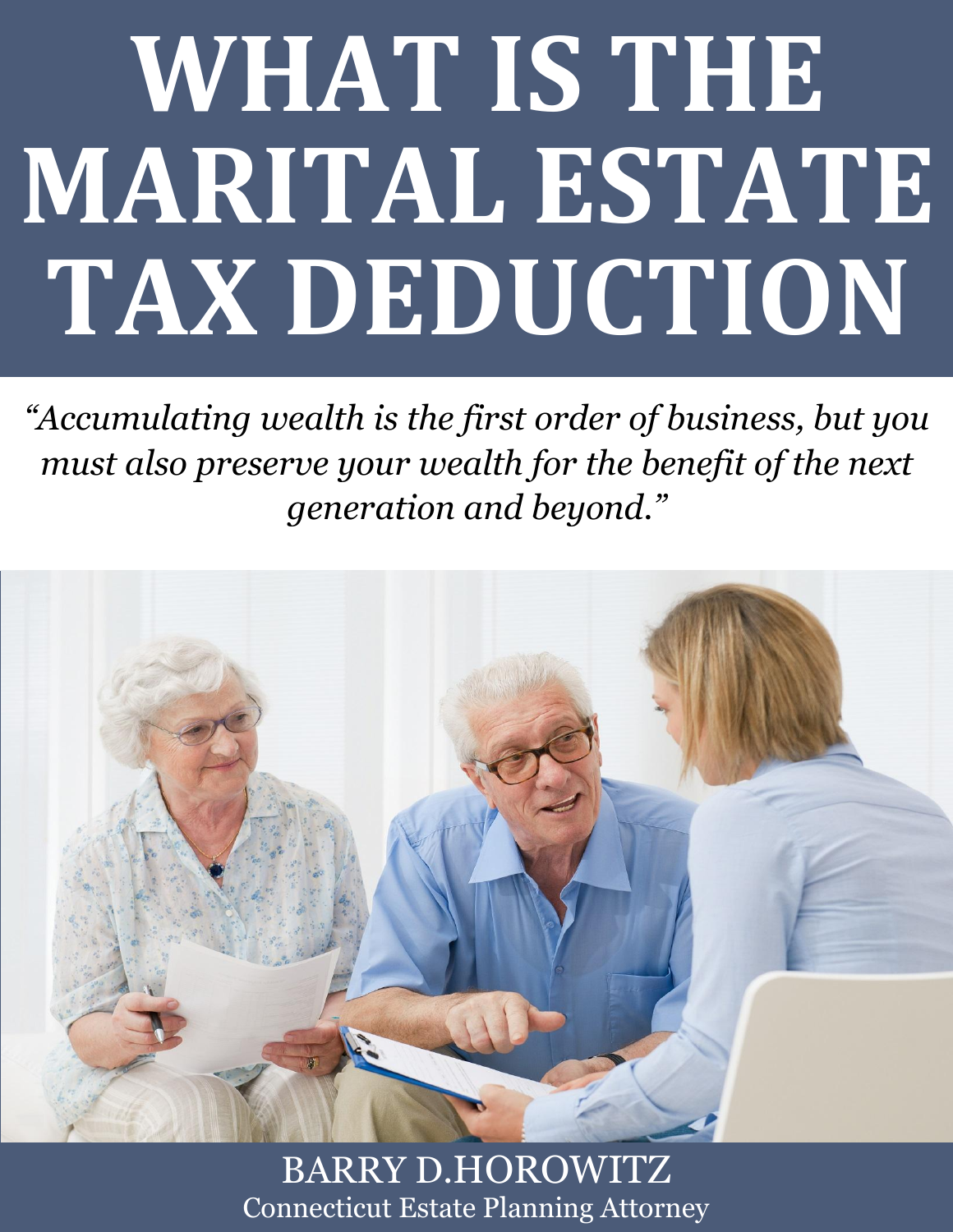# **WHAT IS THE MARITAL ESTATE TAX DEDUCTION**

*"Accumulating wealth is the first order of business, but you must also preserve your wealth for the benefit of the next generation and beyond."*



**What is the Marital Estate Planning Attorney.**  $\blacksquare$  **www.preserveyourestate.net** BARRY D.HOROWITZ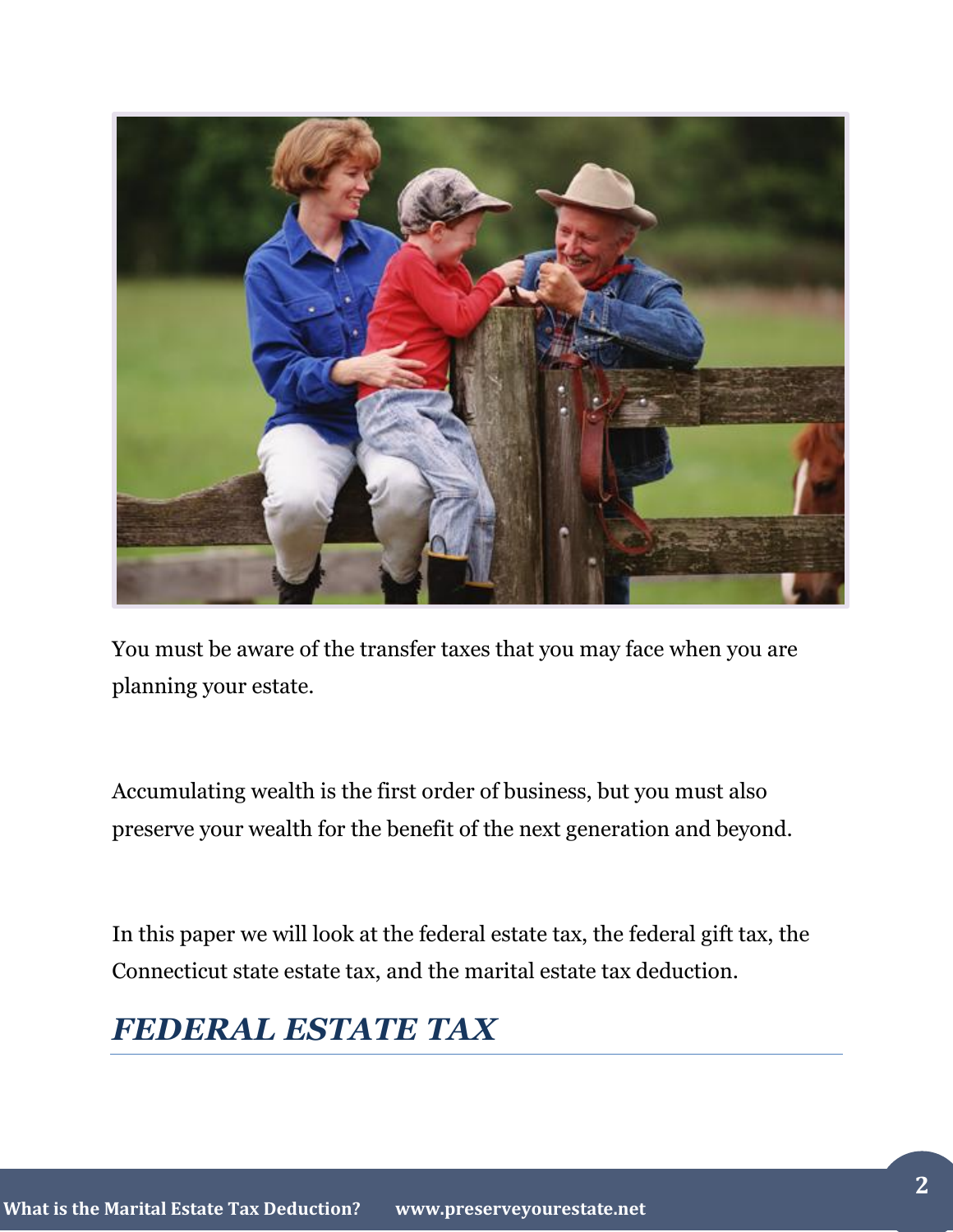

You must be aware of the transfer taxes that you may face when you are planning your estate.

Accumulating wealth is the first order of business, but you must also preserve your wealth for the benefit of the next generation and beyond.

In this paper we will look at the federal estate tax, the federal gift tax, the Connecticut state estate tax, and the marital estate tax deduction.

## *FEDERAL ESTATE TAX*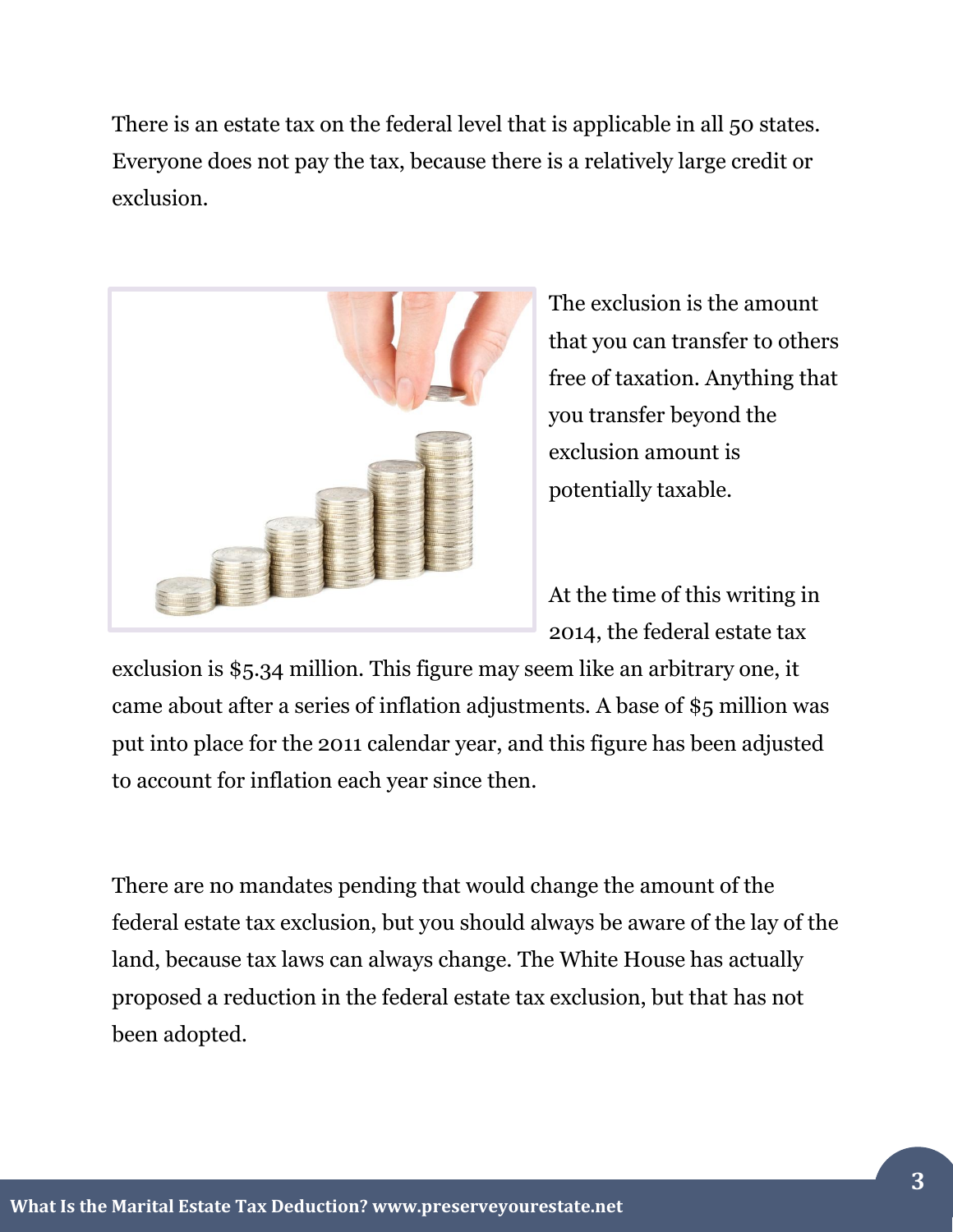There is an estate tax on the federal level that is applicable in all 50 states. Everyone does not pay the tax, because there is a relatively large credit or exclusion.



The exclusion is the amount that you can transfer to others free of taxation. Anything that you transfer beyond the exclusion amount is potentially taxable.

At the time of this writing in 2014, the federal estate tax

exclusion is \$5.34 million. This figure may seem like an arbitrary one, it came about after a series of inflation adjustments. A base of \$5 million was put into place for the 2011 calendar year, and this figure has been adjusted to account for inflation each year since then.

There are no mandates pending that would change the amount of the federal estate tax exclusion, but you should always be aware of the lay of the land, because tax laws can always change. The White House has actually proposed a reduction in the federal estate tax exclusion, but that has not been adopted.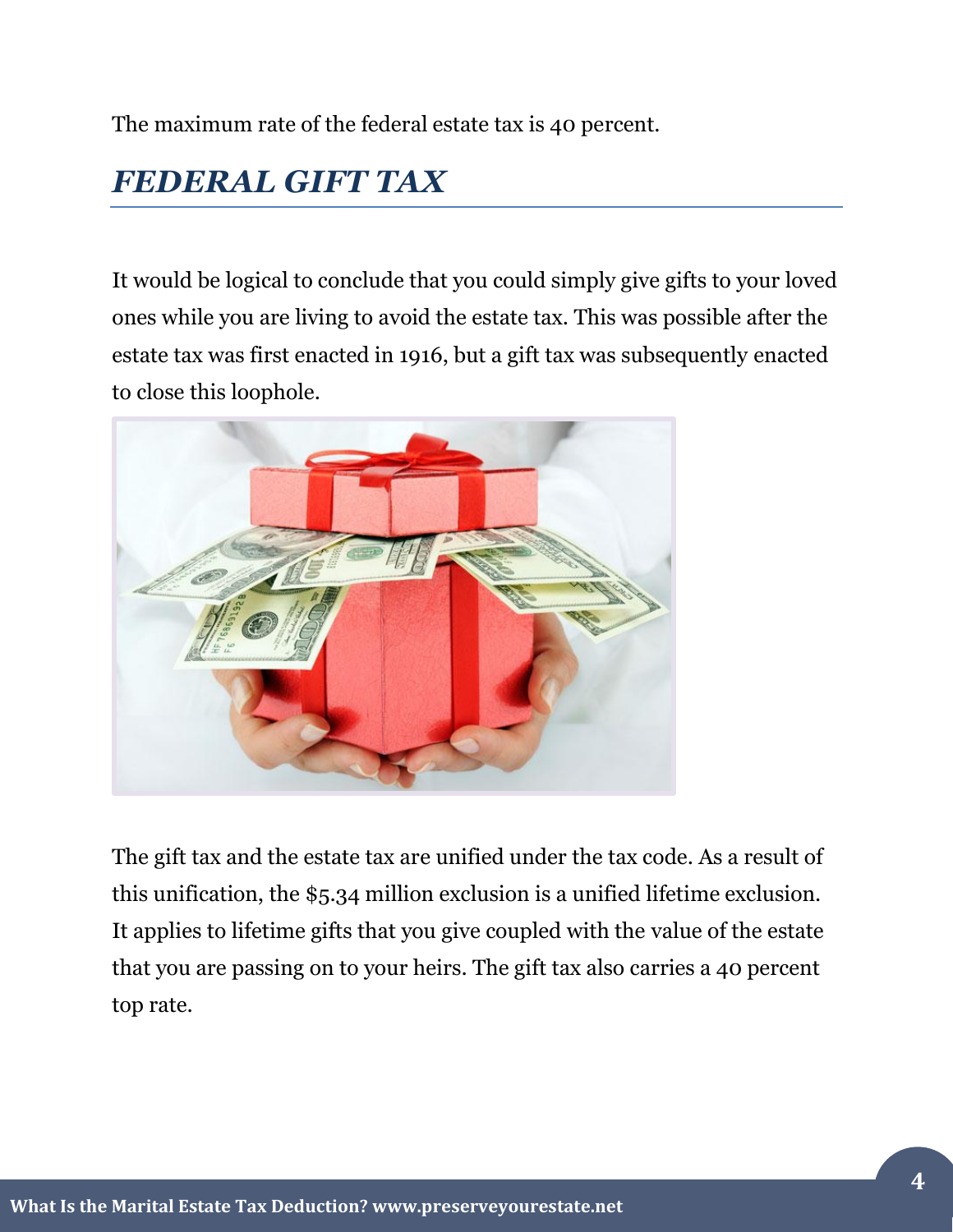The maximum rate of the federal estate tax is 40 percent.

# *FEDERAL GIFT TAX*

It would be logical to conclude that you could simply give gifts to your loved ones while you are living to avoid the estate tax. This was possible after the estate tax was first enacted in 1916, but a gift tax was subsequently enacted to close this loophole.



The gift tax and the estate tax are unified under the tax code. As a result of this unification, the \$5.34 million exclusion is a unified lifetime exclusion. It applies to lifetime gifts that you give coupled with the value of the estate that you are passing on to your heirs. The gift tax also carries a 40 percent top rate.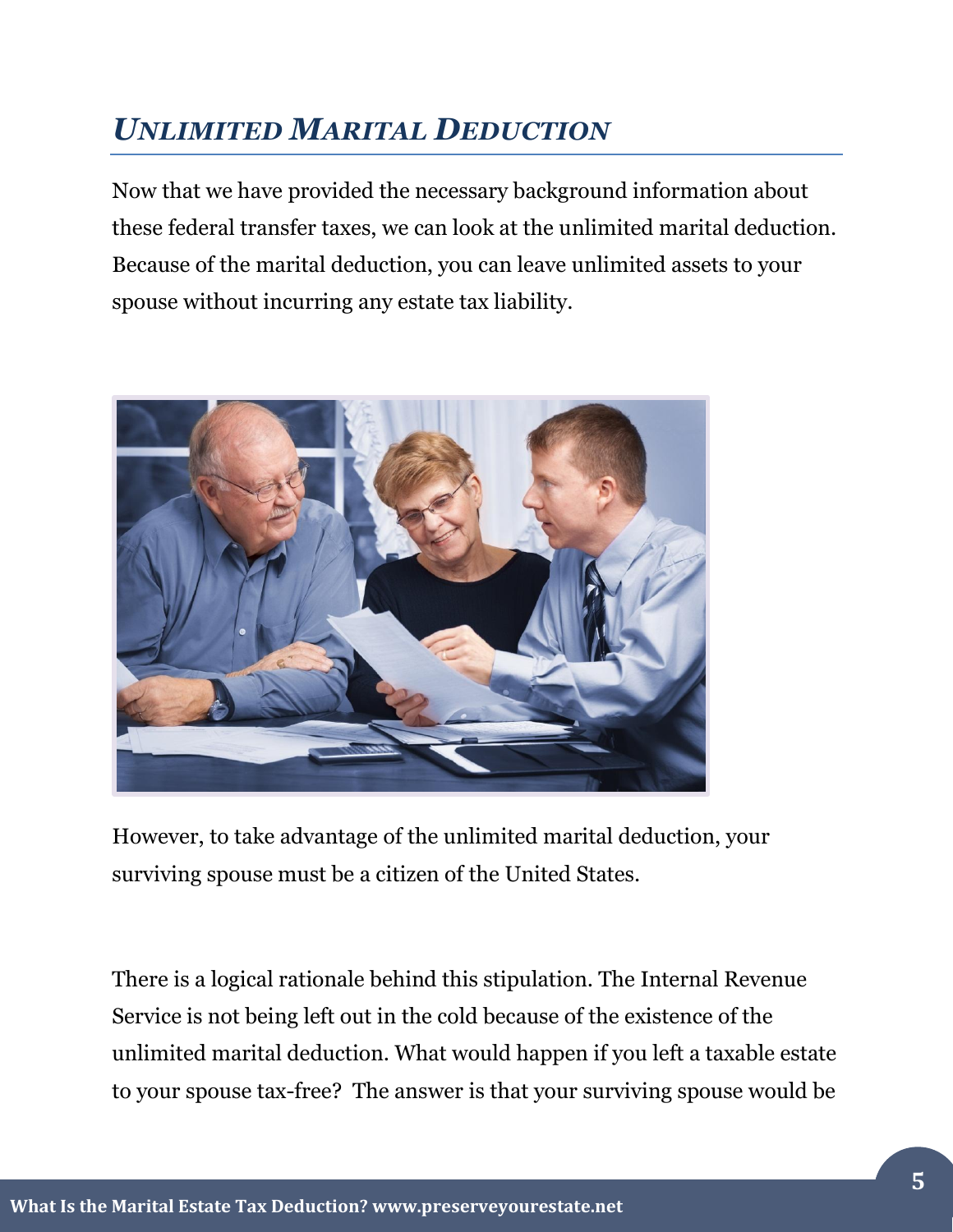# *UNLIMITED MARITAL DEDUCTION*

Now that we have provided the necessary background information about these federal transfer taxes, we can look at the unlimited marital deduction. Because of the marital deduction, you can leave unlimited assets to your spouse without incurring any estate tax liability.



However, to take advantage of the unlimited marital deduction, your surviving spouse must be a citizen of the United States.

There is a logical rationale behind this stipulation. The Internal Revenue Service is not being left out in the cold because of the existence of the unlimited marital deduction. What would happen if you left a taxable estate to your spouse tax-free? The answer is that your surviving spouse would be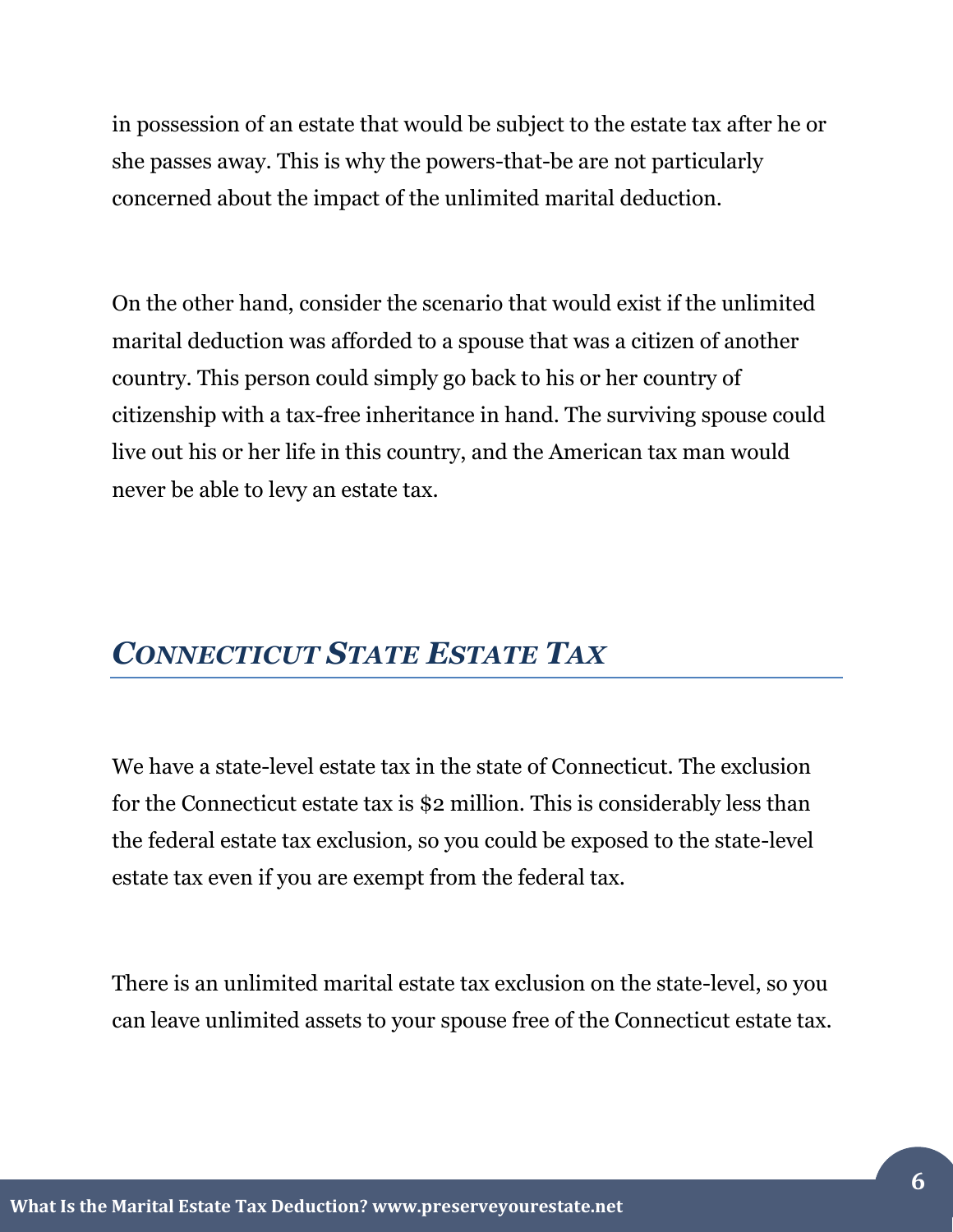in possession of an estate that would be subject to the estate tax after he or she passes away. This is why the powers-that-be are not particularly concerned about the impact of the unlimited marital deduction.

On the other hand, consider the scenario that would exist if the unlimited marital deduction was afforded to a spouse that was a citizen of another country. This person could simply go back to his or her country of citizenship with a tax-free inheritance in hand. The surviving spouse could live out his or her life in this country, and the American tax man would never be able to levy an estate tax.

#### *CONNECTICUT STATE ESTATE TAX*

We have a state-level estate tax in the state of Connecticut. The exclusion for the Connecticut estate tax is \$2 million. This is considerably less than the federal estate tax exclusion, so you could be exposed to the state-level estate tax even if you are exempt from the federal tax.

There is an unlimited marital estate tax exclusion on the state-level, so you can leave unlimited assets to your spouse free of the Connecticut estate tax.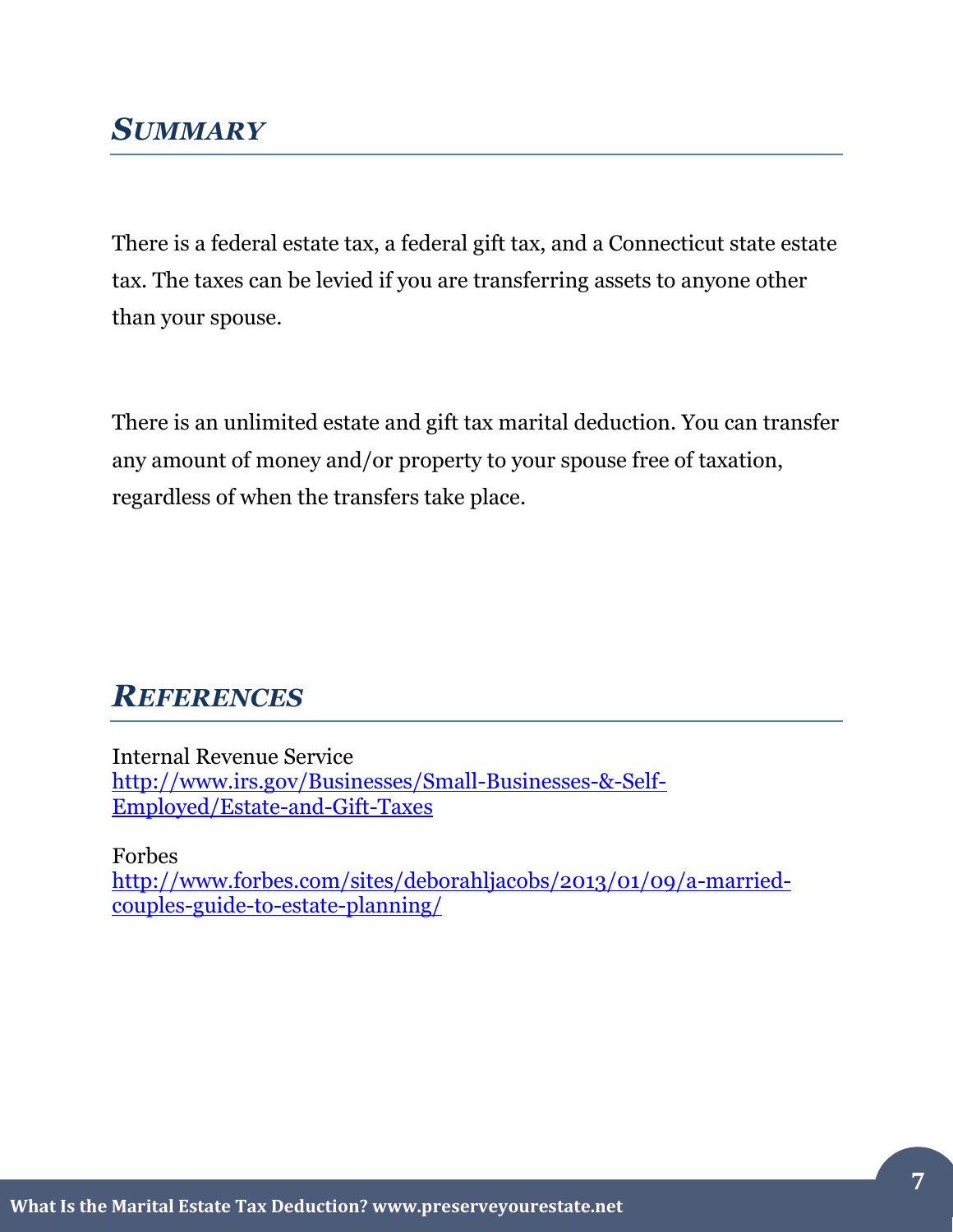#### *SUMMARY*

There is a federal estate tax, a federal gift tax, and a Connecticut state estate tax. The taxes can be levied if you are transferring assets to anyone other than your spouse.

There is an unlimited estate and gift tax marital deduction. You can transfer any amount of money and/or property to your spouse free of taxation, regardless of when the transfers take place.

### *REFERENCES*

Internal Revenue Service [http://www.irs.gov/Businesses/Small-Businesses-&-Self-](http://www.irs.gov/Businesses/Small-Businesses-&-Self-Employed/Estate-and-Gift-Taxes)[Employed/Estate-and-Gift-Taxes](http://www.irs.gov/Businesses/Small-Businesses-&-Self-Employed/Estate-and-Gift-Taxes)

Forbes

[http://www.forbes.com/sites/deborahljacobs/2013/01/09/a-married](http://www.forbes.com/sites/deborahljacobs/2013/01/09/a-married-couples-guide-to-estate-planning/)[couples-guide-to-estate-planning/](http://www.forbes.com/sites/deborahljacobs/2013/01/09/a-married-couples-guide-to-estate-planning/)